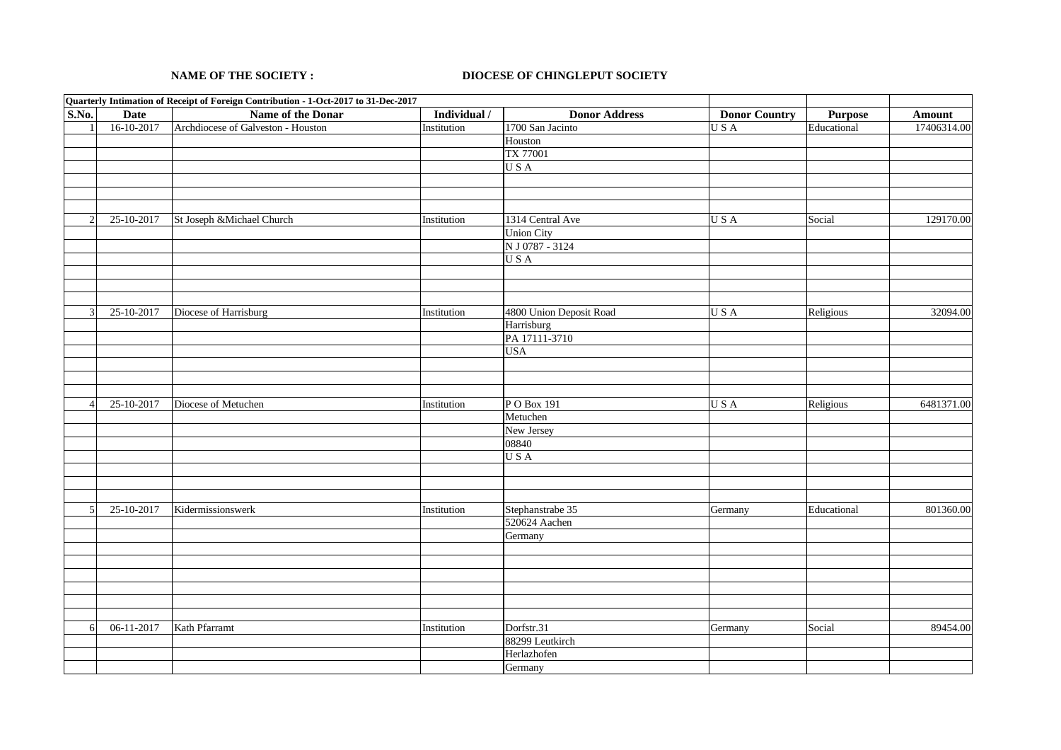## **NAME OF THE SOCIETY : DIOCESE OF CHINGLEPUT SOCIETY**

|                       | Quarterly Intimation of Receipt of Foreign Contribution - 1-Oct-2017 to 31-Dec-2017 |                                    |              |                         |                      |             |             |
|-----------------------|-------------------------------------------------------------------------------------|------------------------------------|--------------|-------------------------|----------------------|-------------|-------------|
| S.No.                 | Date                                                                                | Name of the Donar                  | Individual / | <b>Donor Address</b>    | <b>Donor Country</b> | Purpose     | Amount      |
|                       | 16-10-2017                                                                          | Archdiocese of Galveston - Houston | Institution  | 1700 San Jacinto        | USA                  | Educational | 17406314.00 |
|                       |                                                                                     |                                    |              | Houston                 |                      |             |             |
|                       |                                                                                     |                                    |              | TX 77001                |                      |             |             |
|                       |                                                                                     |                                    |              | USA                     |                      |             |             |
|                       |                                                                                     |                                    |              |                         |                      |             |             |
|                       |                                                                                     |                                    |              |                         |                      |             |             |
|                       |                                                                                     |                                    |              |                         |                      |             |             |
| 2                     | 25-10-2017                                                                          | St Joseph & Michael Church         | Institution  | 1314 Central Ave        | USA                  | Social      | 129170.00   |
|                       |                                                                                     |                                    |              | <b>Union City</b>       |                      |             |             |
|                       |                                                                                     |                                    |              | N J 0787 - 3124         |                      |             |             |
|                       |                                                                                     |                                    |              | USA                     |                      |             |             |
|                       |                                                                                     |                                    |              |                         |                      |             |             |
|                       |                                                                                     |                                    |              |                         |                      |             |             |
|                       |                                                                                     |                                    |              |                         |                      |             |             |
| 3                     | 25-10-2017                                                                          | Diocese of Harrisburg              | Institution  | 4800 Union Deposit Road | USA                  | Religious   | 32094.00    |
|                       |                                                                                     |                                    |              | Harrisburg              |                      |             |             |
|                       |                                                                                     |                                    |              | PA 17111-3710           |                      |             |             |
|                       |                                                                                     |                                    |              | <b>USA</b>              |                      |             |             |
|                       |                                                                                     |                                    |              |                         |                      |             |             |
|                       |                                                                                     |                                    |              |                         |                      |             |             |
|                       |                                                                                     |                                    |              |                         |                      |             |             |
| $\boldsymbol{\Delta}$ | 25-10-2017                                                                          | Diocese of Metuchen                | Institution  | PO Box 191              | USA                  | Religious   | 6481371.00  |
|                       |                                                                                     |                                    |              | Metuchen                |                      |             |             |
|                       |                                                                                     |                                    |              | New Jersey              |                      |             |             |
|                       |                                                                                     |                                    |              | 08840                   |                      |             |             |
|                       |                                                                                     |                                    |              | USA                     |                      |             |             |
|                       |                                                                                     |                                    |              |                         |                      |             |             |
|                       |                                                                                     |                                    |              |                         |                      |             |             |
|                       |                                                                                     |                                    |              |                         |                      |             |             |
| 5                     | 25-10-2017                                                                          | Kidermissionswerk                  | Institution  | Stephanstrabe 35        | Germany              | Educational | 801360.00   |
|                       |                                                                                     |                                    |              | 520624 Aachen           |                      |             |             |
|                       |                                                                                     |                                    |              |                         |                      |             |             |
|                       |                                                                                     |                                    |              | Germany                 |                      |             |             |
|                       |                                                                                     |                                    |              |                         |                      |             |             |
|                       |                                                                                     |                                    |              |                         |                      |             |             |
|                       |                                                                                     |                                    |              |                         |                      |             |             |
|                       |                                                                                     |                                    |              |                         |                      |             |             |
|                       |                                                                                     |                                    |              |                         |                      |             |             |
|                       |                                                                                     |                                    |              |                         |                      |             |             |
| 6                     | $06-11-2017$                                                                        | Kath Pfarramt                      | Institution  | Dorfstr.31              | Germany              | Social      | 89454.00    |
|                       |                                                                                     |                                    |              | 88299 Leutkirch         |                      |             |             |
|                       |                                                                                     |                                    |              | Herlazhofen             |                      |             |             |
|                       |                                                                                     |                                    |              | Germany                 |                      |             |             |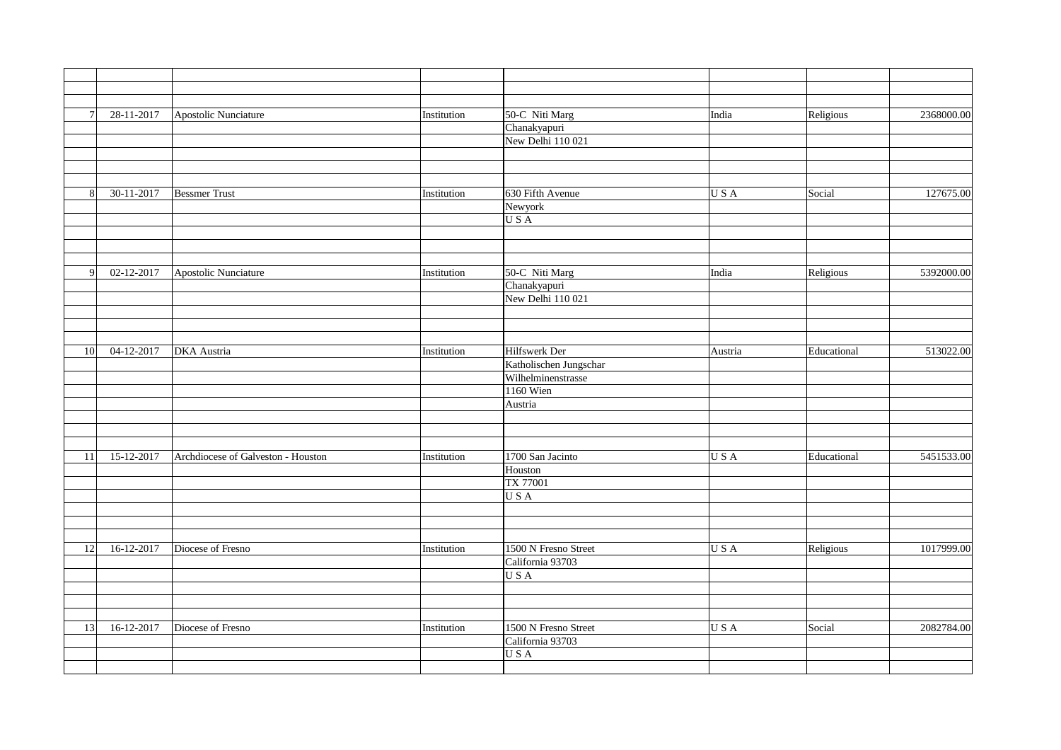| $\overline{7}$ | 28-11-2017   | Apostolic Nunciature               | Institution | 50-C Niti Marg         | India   | Religious   | 2368000.00 |
|----------------|--------------|------------------------------------|-------------|------------------------|---------|-------------|------------|
|                |              |                                    |             | Chanakyapuri           |         |             |            |
|                |              |                                    |             | New Delhi 110 021      |         |             |            |
|                |              |                                    |             |                        |         |             |            |
| 8              |              |                                    |             |                        |         |             |            |
|                |              |                                    |             |                        |         |             |            |
|                | 30-11-2017   | <b>Bessmer Trust</b>               | Institution | 630 Fifth Avenue       | USA     | Social      | 127675.00  |
|                |              |                                    |             | Newyork                |         |             |            |
|                |              |                                    |             | USA                    |         |             |            |
|                |              |                                    |             |                        |         |             |            |
|                |              |                                    |             |                        |         |             |            |
|                |              |                                    |             |                        |         |             |            |
|                |              |                                    |             |                        |         |             |            |
| 9              | 02-12-2017   | <b>Apostolic Nunciature</b>        | Institution | 50-C Niti Marg         | India   | Religious   | 5392000.00 |
|                |              |                                    |             | Chanakyapuri           |         |             |            |
|                |              |                                    |             | New Delhi 110 021      |         |             |            |
|                |              |                                    |             |                        |         |             |            |
|                |              |                                    |             |                        |         |             |            |
|                |              |                                    |             |                        |         |             |            |
| 10             | $04-12-2017$ | <b>DKA</b> Austria                 | Institution | Hilfswerk Der          | Austria | Educational | 513022.00  |
|                |              |                                    |             | Katholischen Jungschar |         |             |            |
|                |              |                                    |             | Wilhelminenstrasse     |         |             |            |
|                |              |                                    |             |                        |         |             |            |
|                |              |                                    |             | <b>1160 Wien</b>       |         |             |            |
|                |              |                                    |             | Austria                |         |             |            |
|                |              |                                    |             |                        |         |             |            |
|                |              |                                    |             |                        |         |             |            |
| 11             |              |                                    |             |                        |         |             |            |
|                | 15-12-2017   | Archdiocese of Galveston - Houston | Institution | 1700 San Jacinto       | USA     | Educational | 5451533.00 |
|                |              |                                    |             | Houston                |         |             |            |
|                |              |                                    |             | TX 77001               |         |             |            |
|                |              |                                    |             | USA                    |         |             |            |
|                |              |                                    |             |                        |         |             |            |
|                |              |                                    |             |                        |         |             |            |
|                |              |                                    |             |                        |         |             |            |
|                |              |                                    |             |                        |         |             |            |
| 12             | 16-12-2017   | Diocese of Fresno                  | Institution | 1500 N Fresno Street   | USA     | Religious   | 1017999.00 |
|                |              |                                    |             | California 93703       |         |             |            |
|                |              |                                    |             | USA                    |         |             |            |
|                |              |                                    |             |                        |         |             |            |
|                |              |                                    |             |                        |         |             |            |
|                |              |                                    |             |                        |         |             |            |
| 13             | 16-12-2017   | Diocese of Fresno                  | Institution | 1500 N Fresno Street   | USA     | Social      | 2082784.00 |
|                |              |                                    |             | California 93703       |         |             |            |
|                |              |                                    |             | USA                    |         |             |            |
|                |              |                                    |             |                        |         |             |            |
|                |              |                                    |             |                        |         |             |            |